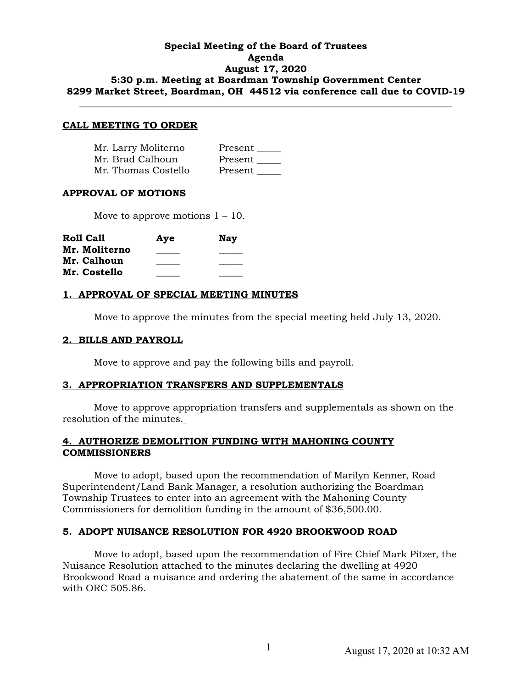## **Special Meeting of the Board of Trustees Agenda August 17, 2020 5:30 p.m. Meeting at Boardman Township Government Center 8299 Market Street, Boardman, OH 44512 via conference call due to COVID-19**

**\_\_\_\_\_\_\_\_\_\_\_\_\_\_\_\_\_\_\_\_\_\_\_\_\_\_\_\_\_\_\_\_\_\_\_\_\_\_\_\_\_\_\_\_\_\_\_\_\_\_\_\_\_\_\_\_\_\_\_\_\_\_\_\_\_\_\_\_\_\_\_\_\_\_\_\_\_\_**

#### **CALL MEETING TO ORDER**

| Mr. Larry Moliterno | Present |
|---------------------|---------|
| Mr. Brad Calhoun    | Present |
| Mr. Thomas Costello | Present |

#### **APPROVAL OF MOTIONS**

Move to approve motions  $1 - 10$ .

| Roll Call     | Aye | <b>Nav</b> |
|---------------|-----|------------|
| Mr. Moliterno |     |            |
| Mr. Calhoun   |     |            |
| Mr. Costello  |     |            |

## **1. APPROVAL OF SPECIAL MEETING MINUTES**

Move to approve the minutes from the special meeting held July 13, 2020.

#### **2. BILLS AND PAYROLL**

Move to approve and pay the following bills and payroll.

# **3. APPROPRIATION TRANSFERS AND SUPPLEMENTALS**

 Move to approve appropriation transfers and supplementals as shown on the resolution of the minutes.

# **4. AUTHORIZE DEMOLITION FUNDING WITH MAHONING COUNTY COMMISSIONERS**

Move to adopt, based upon the recommendation of Marilyn Kenner, Road Superintendent/Land Bank Manager, a resolution authorizing the Boardman Township Trustees to enter into an agreement with the Mahoning County Commissioners for demolition funding in the amount of \$36,500.00.

#### **5. ADOPT NUISANCE RESOLUTION FOR 4920 BROOKWOOD ROAD**

Move to adopt, based upon the recommendation of Fire Chief Mark Pitzer, the Nuisance Resolution attached to the minutes declaring the dwelling at 4920 Brookwood Road a nuisance and ordering the abatement of the same in accordance with ORC 505.86.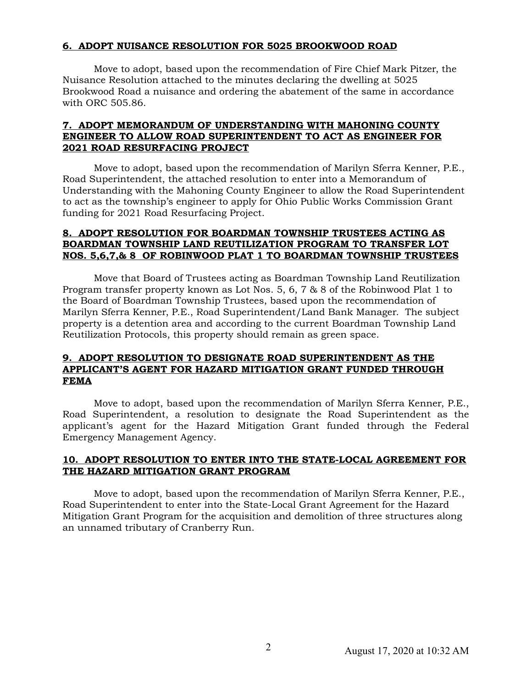# **6. ADOPT NUISANCE RESOLUTION FOR 5025 BROOKWOOD ROAD**

Move to adopt, based upon the recommendation of Fire Chief Mark Pitzer, the Nuisance Resolution attached to the minutes declaring the dwelling at 5025 Brookwood Road a nuisance and ordering the abatement of the same in accordance with ORC 505.86.

# **7. ADOPT MEMORANDUM OF UNDERSTANDING WITH MAHONING COUNTY ENGINEER TO ALLOW ROAD SUPERINTENDENT TO ACT AS ENGINEER FOR 2021 ROAD RESURFACING PROJECT**

Move to adopt, based upon the recommendation of Marilyn Sferra Kenner, P.E., Road Superintendent, the attached resolution to enter into a Memorandum of Understanding with the Mahoning County Engineer to allow the Road Superintendent to act as the township's engineer to apply for Ohio Public Works Commission Grant funding for 2021 Road Resurfacing Project.

## **8. ADOPT RESOLUTION FOR BOARDMAN TOWNSHIP TRUSTEES ACTING AS BOARDMAN TOWNSHIP LAND REUTILIZATION PROGRAM TO TRANSFER LOT NOS. 5,6,7,& 8 OF ROBINWOOD PLAT 1 TO BOARDMAN TOWNSHIP TRUSTEES**

Move that Board of Trustees acting as Boardman Township Land Reutilization Program transfer property known as Lot Nos. 5, 6, 7 & 8 of the Robinwood Plat 1 to the Board of Boardman Township Trustees, based upon the recommendation of Marilyn Sferra Kenner, P.E., Road Superintendent/Land Bank Manager. The subject property is a detention area and according to the current Boardman Township Land Reutilization Protocols, this property should remain as green space.

## **9. ADOPT RESOLUTION TO DESIGNATE ROAD SUPERINTENDENT AS THE APPLICANT'S AGENT FOR HAZARD MITIGATION GRANT FUNDED THROUGH FEMA**

Move to adopt, based upon the recommendation of Marilyn Sferra Kenner, P.E., Road Superintendent, a resolution to designate the Road Superintendent as the applicant's agent for the Hazard Mitigation Grant funded through the Federal Emergency Management Agency.

# **10. ADOPT RESOLUTION TO ENTER INTO THE STATE-LOCAL AGREEMENT FOR THE HAZARD MITIGATION GRANT PROGRAM**

Move to adopt, based upon the recommendation of Marilyn Sferra Kenner, P.E., Road Superintendent to enter into the State-Local Grant Agreement for the Hazard Mitigation Grant Program for the acquisition and demolition of three structures along an unnamed tributary of Cranberry Run.